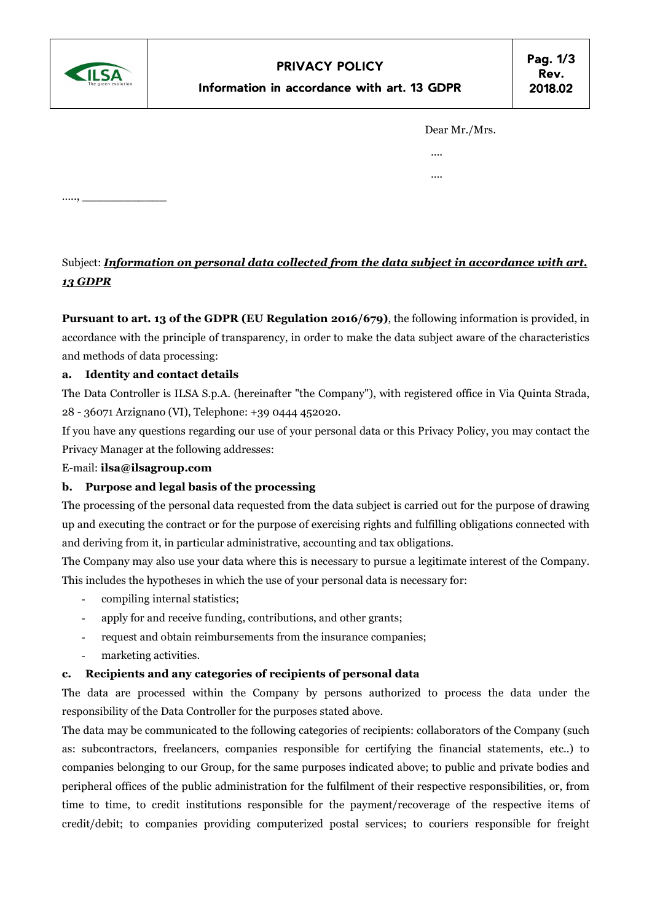

….., \_\_\_\_\_\_\_\_\_\_\_\_

| Dear Mr./Mrs. |
|---------------|
|               |

 …. ….

# Subject: Information on personal data collected from the data subject in accordance with art. 13 GDPR

Pursuant to art. 13 of the GDPR (EU Regulation 2016/679), the following information is provided, in accordance with the principle of transparency, in order to make the data subject aware of the characteristics and methods of data processing:

## a. Identity and contact details

The Data Controller is ILSA S.p.A. (hereinafter "the Company"), with registered office in Via Quinta Strada, 28 - 36071 Arzignano (VI), Telephone: +39 0444 452020.

If you have any questions regarding our use of your personal data or this Privacy Policy, you may contact the Privacy Manager at the following addresses:

E-mail: ilsa@ilsagroup.com

#### b. Purpose and legal basis of the processing

The processing of the personal data requested from the data subject is carried out for the purpose of drawing up and executing the contract or for the purpose of exercising rights and fulfilling obligations connected with and deriving from it, in particular administrative, accounting and tax obligations.

The Company may also use your data where this is necessary to pursue a legitimate interest of the Company. This includes the hypotheses in which the use of your personal data is necessary for:

- compiling internal statistics;
- apply for and receive funding, contributions, and other grants;
- request and obtain reimbursements from the insurance companies;
- marketing activities.

#### c. Recipients and any categories of recipients of personal data

The data are processed within the Company by persons authorized to process the data under the responsibility of the Data Controller for the purposes stated above.

The data may be communicated to the following categories of recipients: collaborators of the Company (such as: subcontractors, freelancers, companies responsible for certifying the financial statements, etc..) to companies belonging to our Group, for the same purposes indicated above; to public and private bodies and peripheral offices of the public administration for the fulfilment of their respective responsibilities, or, from time to time, to credit institutions responsible for the payment/recoverage of the respective items of credit/debit; to companies providing computerized postal services; to couriers responsible for freight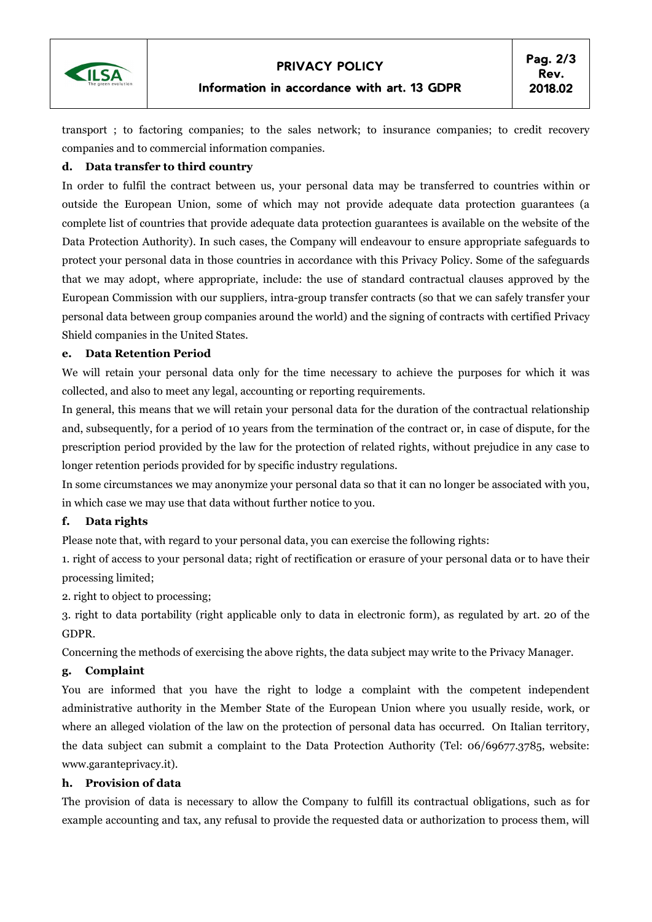

#### Information in accordance with art. 13 GDPR

transport ; to factoring companies; to the sales network; to insurance companies; to credit recovery companies and to commercial information companies.

## d. Data transfer to third country

In order to fulfil the contract between us, your personal data may be transferred to countries within or outside the European Union, some of which may not provide adequate data protection guarantees (a complete list of countries that provide adequate data protection guarantees is available on the website of the Data Protection Authority). In such cases, the Company will endeavour to ensure appropriate safeguards to protect your personal data in those countries in accordance with this Privacy Policy. Some of the safeguards that we may adopt, where appropriate, include: the use of standard contractual clauses approved by the European Commission with our suppliers, intra-group transfer contracts (so that we can safely transfer your personal data between group companies around the world) and the signing of contracts with certified Privacy Shield companies in the United States.

## e. Data Retention Period

We will retain your personal data only for the time necessary to achieve the purposes for which it was collected, and also to meet any legal, accounting or reporting requirements.

In general, this means that we will retain your personal data for the duration of the contractual relationship and, subsequently, for a period of 10 years from the termination of the contract or, in case of dispute, for the prescription period provided by the law for the protection of related rights, without prejudice in any case to longer retention periods provided for by specific industry regulations.

In some circumstances we may anonymize your personal data so that it can no longer be associated with you, in which case we may use that data without further notice to you.

## f. Data rights

Please note that, with regard to your personal data, you can exercise the following rights:

1. right of access to your personal data; right of rectification or erasure of your personal data or to have their processing limited;

2. right to object to processing;

3. right to data portability (right applicable only to data in electronic form), as regulated by art. 20 of the GDPR.

Concerning the methods of exercising the above rights, the data subject may write to the Privacy Manager.

## g. Complaint

You are informed that you have the right to lodge a complaint with the competent independent administrative authority in the Member State of the European Union where you usually reside, work, or where an alleged violation of the law on the protection of personal data has occurred. On Italian territory, the data subject can submit a complaint to the Data Protection Authority (Tel: 06/69677.3785, website: www.garanteprivacy.it).

#### h. Provision of data

The provision of data is necessary to allow the Company to fulfill its contractual obligations, such as for example accounting and tax, any refusal to provide the requested data or authorization to process them, will